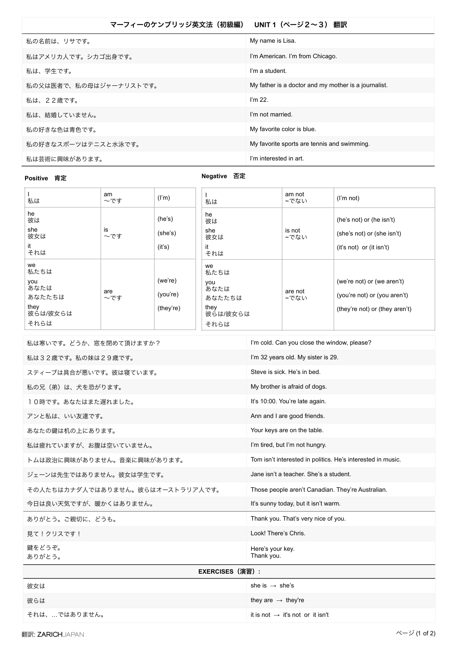| マーフィーのケンブリッジ英文法(初級編)   | UNIT 1 (ページ2~3) 翻訳                                   |
|------------------------|------------------------------------------------------|
| 私の名前は、リサです。            | My name is Lisa.                                     |
| 私はアメリカ人です。シカゴ出身です。     | I'm American. I'm from Chicago.                      |
| 私は、学生です。               | I'm a student.                                       |
| 私の父は医者で、私の母はジャーナリストです。 | My father is a doctor and my mother is a journalist. |
| 私は、22歳です。              | $\mathsf{I}'\mathsf{m}$ 22.                          |
| 私は、結婚していません。           | I'm not married.                                     |
| 私の好きな色は青色です。           | My favorite color is blue.                           |
| 私の好きなスポーツはテニスと水泳です。    | My favorite sports are tennis and swimming.          |
| 私は芸術に興味があります。          | I'm interested in art.                               |

## **Positive 肯定**

## **Negative** 否定

| 私は                                                              | am<br>~です       | (l'm)                            | 私は                                                              | am not<br>~でない  | (l'm not)                                                                                    |
|-----------------------------------------------------------------|-----------------|----------------------------------|-----------------------------------------------------------------|-----------------|----------------------------------------------------------------------------------------------|
| he<br>彼は<br>she<br>彼女は<br>it<br>それは                             | is<br>$\sim$ です | (he's)<br>(she's)<br>(it's)      | he<br>彼は<br>she<br>彼女は<br>it<br>それは                             | is not<br>~でない  | (he's not) or (he isn't)<br>(she's not) or (she isn't)<br>$(it's not)$ or $(it isn't)$       |
| we<br>私たちは<br>you<br>あなたは<br>あなたたちは<br>they<br>彼らは/彼女らは<br>それらは | are<br>~です      | (we're)<br>(you're)<br>(they're) | we<br>私たちは<br>you<br>あなたは<br>あなたたちは<br>they<br>彼らは/彼女らは<br>それらは | are not<br>~でない | (we're not) or (we aren't)<br>(you're not) or (you aren't)<br>(they're not) or (they aren't) |

| 私は寒いです。どうか、窓を閉めて頂けますか?           | I'm cold. Can you close the window, please?                 |  |  |
|----------------------------------|-------------------------------------------------------------|--|--|
| 私は32歳です。私の妹は29歳です。               | I'm 32 years old. My sister is 29.                          |  |  |
| スティーブは具合が悪いです。彼は寝ています。           | Steve is sick. He's in bed.                                 |  |  |
| 私の兄(弟)は、犬を恐がります。                 | My brother is afraid of dogs.                               |  |  |
| 10時です。あなたはまた遅れました。               | It's 10:00. You're late again.                              |  |  |
| アンと私は、いい友達です。                    | Ann and I are good friends.                                 |  |  |
| あなたの鍵は机の上にあります。                  | Your keys are on the table.                                 |  |  |
| 私は疲れていますが、お腹は空いていません。            | I'm tired, but I'm not hungry.                              |  |  |
| トムは政治に興味がありません。音楽に興味があります。       | Tom isn't interested in politics. He's interested in music. |  |  |
| ジェーンは先生ではありません。彼女は学生です。          | Jane isn't a teacher. She's a student.                      |  |  |
| その人たちはカナダ人ではありません。彼らはオーストラリア人です。 | Those people aren't Canadian. They're Australian.           |  |  |
| 今日は良い天気ですが、暖かくはありません。            | It's sunny today, but it isn't warm.                        |  |  |
| ありがとう。ご親切に、どうも。                  | Thank you. That's very nice of you.                         |  |  |
| 見て!クリスです!                        | Look! There's Chris.                                        |  |  |
| 鍵をどうぞ。<br>ありがとう。                 | Here's your key.<br>Thank you.                              |  |  |
| <b>EXERCISES (演習) :</b>          |                                                             |  |  |
| 彼女は                              | she is $\rightarrow$ she's                                  |  |  |
|                                  |                                                             |  |  |

| 倣女は           | sne is $\rightarrow$ sne s                   |
|---------------|----------------------------------------------|
| 彼らは           | they are $\rightarrow$ they're               |
| それは、…ではありません。 | it is not $\rightarrow$ it's not or it isn't |